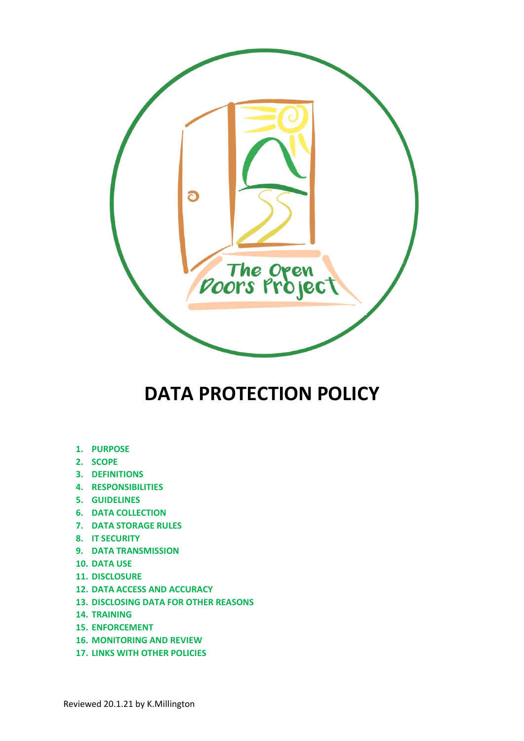

# **DATA PROTECTION POLICY**

- **1. PURPOSE**
- **2. SCOPE**
- **3. DEFINITIONS**
- **4. RESPONSIBILITIES**
- **5. GUIDELINES**
- **6. DATA COLLECTION**
- **7. DATA STORAGE RULES**
- **8. IT SECURITY**
- **9. DATA TRANSMISSION**
- **10. DATA USE**
- **11. DISCLOSURE**
- **12. DATA ACCESS AND ACCURACY**
- **13. DISCLOSING DATA FOR OTHER REASONS**
- **14. TRAINING**
- **15. ENFORCEMENT**
- **16. MONITORING AND REVIEW**
- **17. LINKS WITH OTHER POLICIES**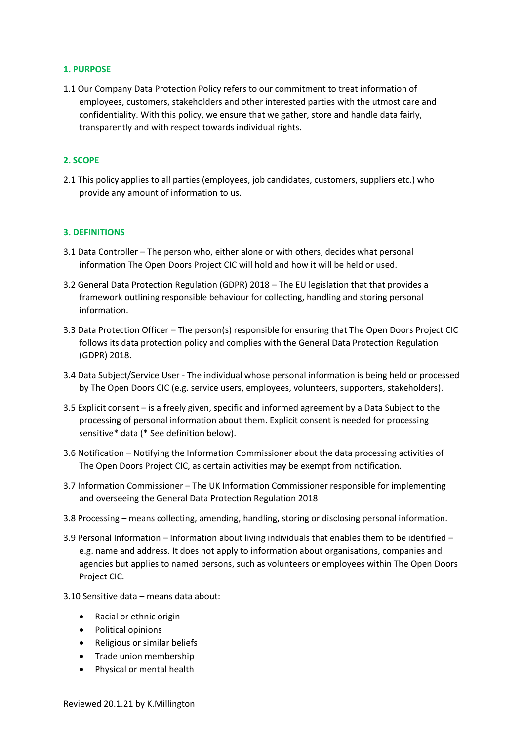#### **1. PURPOSE**

1.1 Our Company Data Protection Policy refers to our commitment to treat information of employees, customers, stakeholders and other interested parties with the utmost care and confidentiality. With this policy, we ensure that we gather, store and handle data fairly, transparently and with respect towards individual rights.

# **2. SCOPE**

2.1 This policy applies to all parties (employees, job candidates, customers, suppliers etc.) who provide any amount of information to us.

## **3. DEFINITIONS**

- 3.1 Data Controller The person who, either alone or with others, decides what personal information The Open Doors Project CIC will hold and how it will be held or used.
- 3.2 General Data Protection Regulation (GDPR) 2018 The EU legislation that that provides a framework outlining responsible behaviour for collecting, handling and storing personal information.
- 3.3 Data Protection Officer The person(s) responsible for ensuring that The Open Doors Project CIC follows its data protection policy and complies with the General Data Protection Regulation (GDPR) 2018.
- 3.4 Data Subject/Service User The individual whose personal information is being held or processed by The Open Doors CIC (e.g. service users, employees, volunteers, supporters, stakeholders).
- 3.5 Explicit consent is a freely given, specific and informed agreement by a Data Subject to the processing of personal information about them. Explicit consent is needed for processing sensitive\* data (\* See definition below).
- 3.6 Notification Notifying the Information Commissioner about the data processing activities of The Open Doors Project CIC, as certain activities may be exempt from notification.
- 3.7 Information Commissioner The UK Information Commissioner responsible for implementing and overseeing the General Data Protection Regulation 2018
- 3.8 Processing means collecting, amending, handling, storing or disclosing personal information.
- 3.9 Personal Information Information about living individuals that enables them to be identified e.g. name and address. It does not apply to information about organisations, companies and agencies but applies to named persons, such as volunteers or employees within The Open Doors Project CIC.
- 3.10 Sensitive data means data about:
	- Racial or ethnic origin
	- Political opinions
	- Religious or similar beliefs
	- Trade union membership
	- Physical or mental health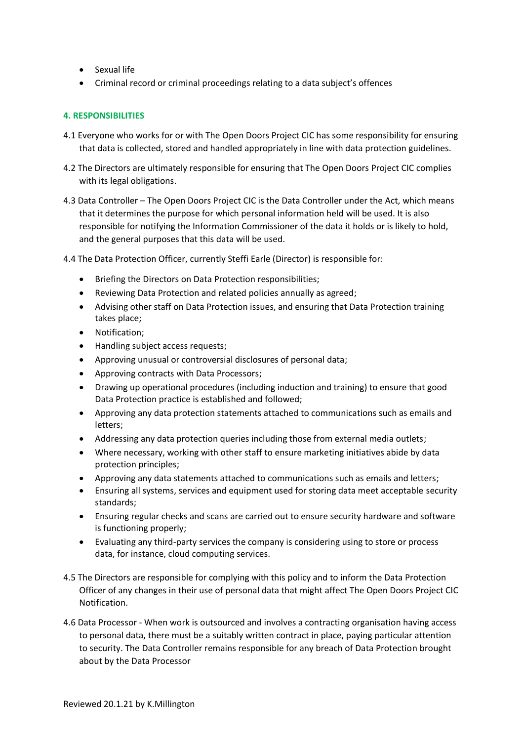- Sexual life
- Criminal record or criminal proceedings relating to a data subject's offences

#### **4. RESPONSIBILITIES**

- 4.1 Everyone who works for or with The Open Doors Project CIC has some responsibility for ensuring that data is collected, stored and handled appropriately in line with data protection guidelines.
- 4.2 The Directors are ultimately responsible for ensuring that The Open Doors Project CIC complies with its legal obligations.
- 4.3 Data Controller The Open Doors Project CIC is the Data Controller under the Act, which means that it determines the purpose for which personal information held will be used. It is also responsible for notifying the Information Commissioner of the data it holds or is likely to hold, and the general purposes that this data will be used.
- 4.4 The Data Protection Officer, currently Steffi Earle (Director) is responsible for:
	- Briefing the Directors on Data Protection responsibilities;
	- Reviewing Data Protection and related policies annually as agreed;
	- Advising other staff on Data Protection issues, and ensuring that Data Protection training takes place;
	- Notification;
	- Handling subject access requests;
	- Approving unusual or controversial disclosures of personal data;
	- Approving contracts with Data Processors;
	- Drawing up operational procedures (including induction and training) to ensure that good Data Protection practice is established and followed;
	- Approving any data protection statements attached to communications such as emails and letters;
	- Addressing any data protection queries including those from external media outlets;
	- Where necessary, working with other staff to ensure marketing initiatives abide by data protection principles;
	- Approving any data statements attached to communications such as emails and letters;
	- Ensuring all systems, services and equipment used for storing data meet acceptable security standards;
	- Ensuring regular checks and scans are carried out to ensure security hardware and software is functioning properly;
	- Evaluating any third-party services the company is considering using to store or process data, for instance, cloud computing services.
- 4.5 The Directors are responsible for complying with this policy and to inform the Data Protection Officer of any changes in their use of personal data that might affect The Open Doors Project CIC Notification.
- 4.6 Data Processor When work is outsourced and involves a contracting organisation having access to personal data, there must be a suitably written contract in place, paying particular attention to security. The Data Controller remains responsible for any breach of Data Protection brought about by the Data Processor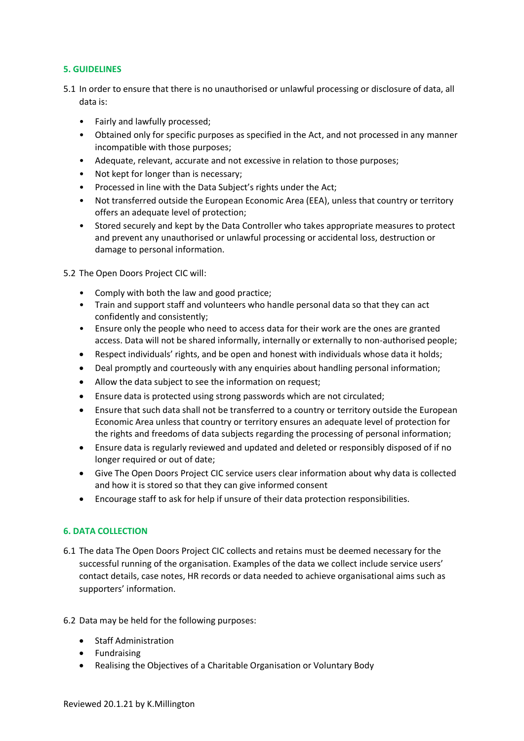## **5. GUIDELINES**

- 5.1 In order to ensure that there is no unauthorised or unlawful processing or disclosure of data, all data is:
	- Fairly and lawfully processed;
	- Obtained only for specific purposes as specified in the Act, and not processed in any manner incompatible with those purposes;
	- Adequate, relevant, accurate and not excessive in relation to those purposes;
	- Not kept for longer than is necessary;
	- Processed in line with the Data Subject's rights under the Act;
	- Not transferred outside the European Economic Area (EEA), unless that country or territory offers an adequate level of protection;
	- Stored securely and kept by the Data Controller who takes appropriate measures to protect and prevent any unauthorised or unlawful processing or accidental loss, destruction or damage to personal information.

5.2 The Open Doors Project CIC will:

- Comply with both the law and good practice;
- Train and support staff and volunteers who handle personal data so that they can act confidently and consistently;
- Ensure only the people who need to access data for their work are the ones are granted access. Data will not be shared informally, internally or externally to non-authorised people;
- Respect individuals' rights, and be open and honest with individuals whose data it holds;
- Deal promptly and courteously with any enquiries about handling personal information;
- Allow the data subject to see the information on request;
- Ensure data is protected using strong passwords which are not circulated;
- Ensure that such data shall not be transferred to a country or territory outside the European Economic Area unless that country or territory ensures an adequate level of protection for the rights and freedoms of data subjects regarding the processing of personal information;
- Ensure data is regularly reviewed and updated and deleted or responsibly disposed of if no longer required or out of date;
- Give The Open Doors Project CIC service users clear information about why data is collected and how it is stored so that they can give informed consent
- Encourage staff to ask for help if unsure of their data protection responsibilities.

# **6. DATA COLLECTION**

- 6.1 The data The Open Doors Project CIC collects and retains must be deemed necessary for the successful running of the organisation. Examples of the data we collect include service users' contact details, case notes, HR records or data needed to achieve organisational aims such as supporters' information.
- 6.2 Data may be held for the following purposes:
	- Staff Administration
	- Fundraising
	- Realising the Objectives of a Charitable Organisation or Voluntary Body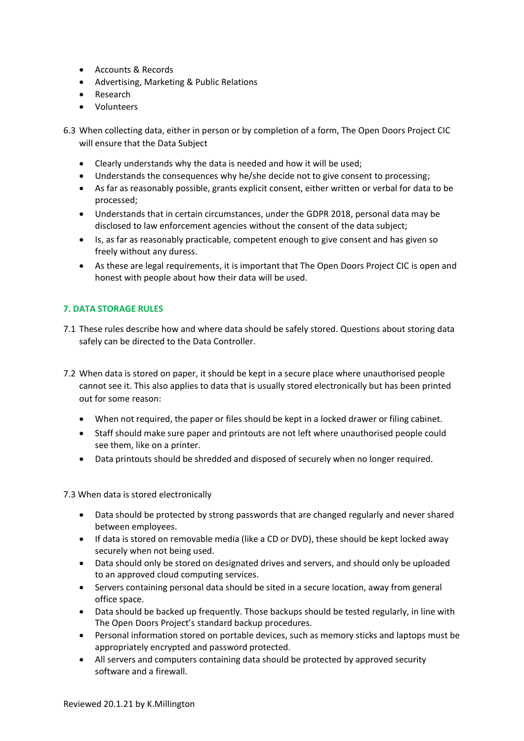- Accounts & Records
- Advertising, Marketing & Public Relations
- Research
- Volunteers

6.3 When collecting data, either in person or by completion of a form, The Open Doors Project CIC will ensure that the Data Subject

- Clearly understands why the data is needed and how it will be used;
- Understands the consequences why he/she decide not to give consent to processing;
- As far as reasonably possible, grants explicit consent, either written or verbal for data to be processed;
- Understands that in certain circumstances, under the GDPR 2018, personal data may be disclosed to law enforcement agencies without the consent of the data subject;
- Is, as far as reasonably practicable, competent enough to give consent and has given so freely without any duress.
- As these are legal requirements, it is important that The Open Doors Project CIC is open and honest with people about how their data will be used.

# **7. DATA STORAGE RULES**

- 7.1 These rules describe how and where data should be safely stored. Questions about storing data safely can be directed to the Data Controller.
- 7.2 When data is stored on paper, it should be kept in a secure place where unauthorised people cannot see it. This also applies to data that is usually stored electronically but has been printed out for some reason:
	- When not required, the paper or files should be kept in a locked drawer or filing cabinet.
	- Staff should make sure paper and printouts are not left where unauthorised people could see them, like on a printer.
	- Data printouts should be shredded and disposed of securely when no longer required.

7.3 When data is stored electronically

- Data should be protected by strong passwords that are changed regularly and never shared between employees.
- If data is stored on removable media (like a CD or DVD), these should be kept locked away securely when not being used.
- Data should only be stored on designated drives and servers, and should only be uploaded to an approved cloud computing services.
- Servers containing personal data should be sited in a secure location, away from general office space.
- Data should be backed up frequently. Those backups should be tested regularly, in line with The Open Doors Project's standard backup procedures.
- Personal information stored on portable devices, such as memory sticks and laptops must be appropriately encrypted and password protected.
- All servers and computers containing data should be protected by approved security software and a firewall.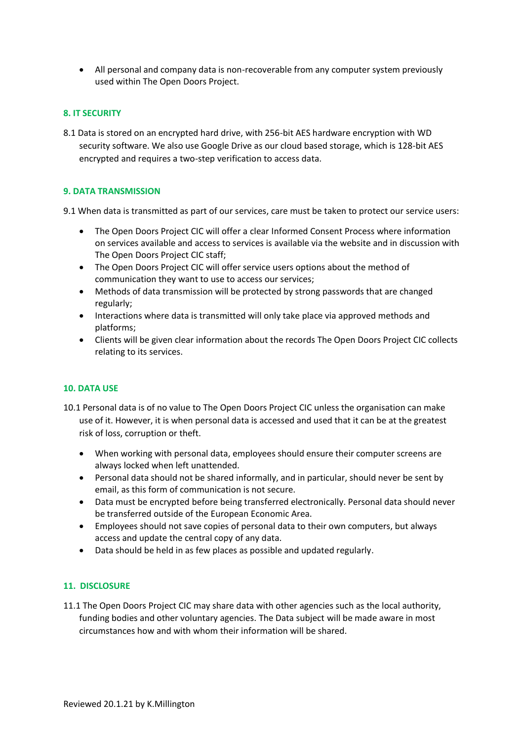• All personal and company data is non-recoverable from any computer system previously used within The Open Doors Project.

# **8. IT SECURITY**

8.1 Data is stored on an encrypted hard drive, with 256-bit AES hardware encryption with WD security software. We also use Google Drive as our cloud based storage, which is 128-bit AES encrypted and requires a two-step verification to access data.

# **9. DATA TRANSMISSION**

9.1 When data is transmitted as part of our services, care must be taken to protect our service users:

- The Open Doors Project CIC will offer a clear Informed Consent Process where information on services available and access to services is available via the website and in discussion with The Open Doors Project CIC staff;
- The Open Doors Project CIC will offer service users options about the method of communication they want to use to access our services;
- Methods of data transmission will be protected by strong passwords that are changed regularly;
- Interactions where data is transmitted will only take place via approved methods and platforms;
- Clients will be given clear information about the records The Open Doors Project CIC collects relating to its services.

# **10. DATA USE**

- 10.1 Personal data is of no value to The Open Doors Project CIC unless the organisation can make use of it. However, it is when personal data is accessed and used that it can be at the greatest risk of loss, corruption or theft.
	- When working with personal data, employees should ensure their computer screens are always locked when left unattended.
	- Personal data should not be shared informally, and in particular, should never be sent by email, as this form of communication is not secure.
	- Data must be encrypted before being transferred electronically. Personal data should never be transferred outside of the European Economic Area.
	- Employees should not save copies of personal data to their own computers, but always access and update the central copy of any data.
	- Data should be held in as few places as possible and updated regularly.

## **11. DISCLOSURE**

11.1 The Open Doors Project CIC may share data with other agencies such as the local authority, funding bodies and other voluntary agencies. The Data subject will be made aware in most circumstances how and with whom their information will be shared.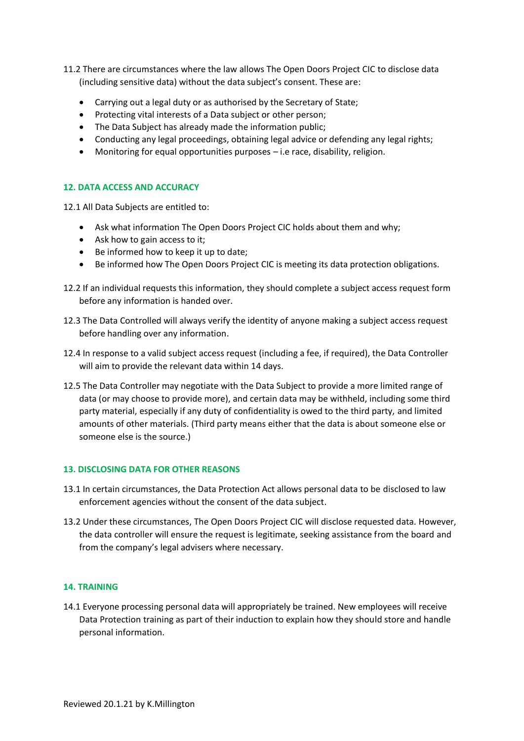- 11.2 There are circumstances where the law allows The Open Doors Project CIC to disclose data (including sensitive data) without the data subject's consent. These are:
	- Carrying out a legal duty or as authorised by the Secretary of State;
	- Protecting vital interests of a Data subject or other person;
	- The Data Subject has already made the information public;
	- Conducting any legal proceedings, obtaining legal advice or defending any legal rights;
	- Monitoring for equal opportunities purposes i.e race, disability, religion.

# **12. DATA ACCESS AND ACCURACY**

12.1 All Data Subjects are entitled to:

- Ask what information The Open Doors Project CIC holds about them and why;
- Ask how to gain access to it;
- Be informed how to keep it up to date;
- Be informed how The Open Doors Project CIC is meeting its data protection obligations.
- 12.2 If an individual requests this information, they should complete a subject access request form before any information is handed over.
- 12.3 The Data Controlled will always verify the identity of anyone making a subject access request before handling over any information.
- 12.4 In response to a valid subject access request (including a fee, if required), the Data Controller will aim to provide the relevant data within 14 days.
- 12.5 The Data Controller may negotiate with the Data Subject to provide a more limited range of data (or may choose to provide more), and certain data may be withheld, including some third party material, especially if any duty of confidentiality is owed to the third party, and limited amounts of other materials. (Third party means either that the data is about someone else or someone else is the source.)

## **13. DISCLOSING DATA FOR OTHER REASONS**

- 13.1 In certain circumstances, the Data Protection Act allows personal data to be disclosed to law enforcement agencies without the consent of the data subject.
- 13.2 Under these circumstances, The Open Doors Project CIC will disclose requested data. However, the data controller will ensure the request is legitimate, seeking assistance from the board and from the company's legal advisers where necessary.

## **14. TRAINING**

14.1 Everyone processing personal data will appropriately be trained. New employees will receive Data Protection training as part of their induction to explain how they should store and handle personal information.